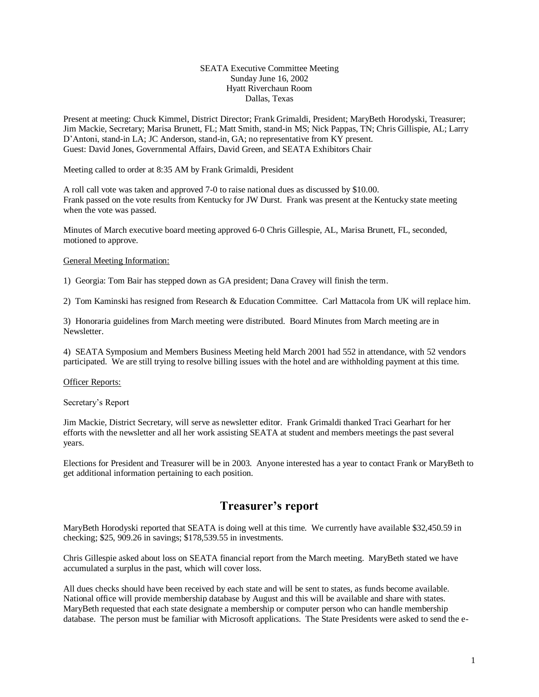#### SEATA Executive Committee Meeting Sunday June 16, 2002 Hyatt Riverchaun Room Dallas, Texas

Present at meeting: Chuck Kimmel, District Director; Frank Grimaldi, President; MaryBeth Horodyski, Treasurer; Jim Mackie, Secretary; Marisa Brunett, FL; Matt Smith, stand-in MS; Nick Pappas, TN; Chris Gillispie, AL; Larry D'Antoni, stand-in LA; JC Anderson, stand-in, GA; no representative from KY present. Guest: David Jones, Governmental Affairs, David Green, and SEATA Exhibitors Chair

Meeting called to order at 8:35 AM by Frank Grimaldi, President

A roll call vote was taken and approved 7-0 to raise national dues as discussed by \$10.00. Frank passed on the vote results from Kentucky for JW Durst. Frank was present at the Kentucky state meeting when the vote was passed.

Minutes of March executive board meeting approved 6-0 Chris Gillespie, AL, Marisa Brunett, FL, seconded, motioned to approve.

#### General Meeting Information:

1) Georgia: Tom Bair has stepped down as GA president; Dana Cravey will finish the term.

2) Tom Kaminski has resigned from Research & Education Committee. Carl Mattacola from UK will replace him.

3) Honoraria guidelines from March meeting were distributed. Board Minutes from March meeting are in Newsletter.

4) SEATA Symposium and Members Business Meeting held March 2001 had 552 in attendance, with 52 vendors participated. We are still trying to resolve billing issues with the hotel and are withholding payment at this time.

#### **Officer Reports:**

Secretary's Report

Jim Mackie, District Secretary, will serve as newsletter editor. Frank Grimaldi thanked Traci Gearhart for her efforts with the newsletter and all her work assisting SEATA at student and members meetings the past several years.

Elections for President and Treasurer will be in 2003. Anyone interested has a year to contact Frank or MaryBeth to get additional information pertaining to each position.

# **Treasurer's report**

MaryBeth Horodyski reported that SEATA is doing well at this time. We currently have available \$32,450.59 in checking; \$25, 909.26 in savings; \$178,539.55 in investments.

Chris Gillespie asked about loss on SEATA financial report from the March meeting. MaryBeth stated we have accumulated a surplus in the past, which will cover loss.

All dues checks should have been received by each state and will be sent to states, as funds become available. National office will provide membership database by August and this will be available and share with states. MaryBeth requested that each state designate a membership or computer person who can handle membership database. The person must be familiar with Microsoft applications. The State Presidents were asked to send the e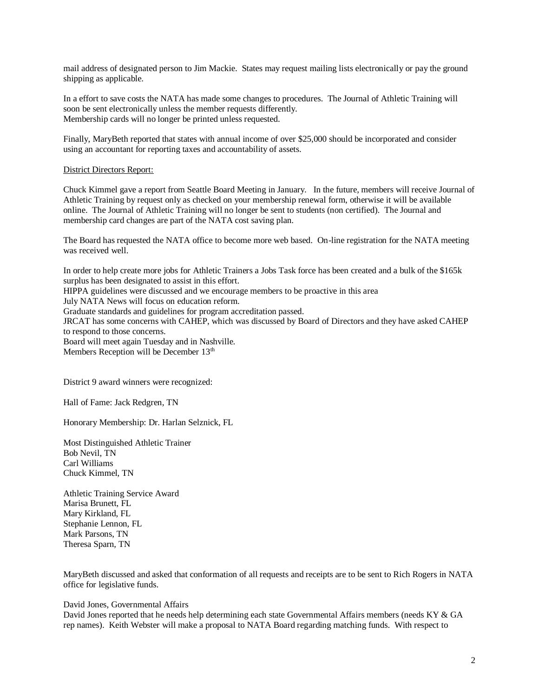mail address of designated person to Jim Mackie. States may request mailing lists electronically or pay the ground shipping as applicable.

In a effort to save costs the NATA has made some changes to procedures. The Journal of Athletic Training will soon be sent electronically unless the member requests differently. Membership cards will no longer be printed unless requested.

Finally, MaryBeth reported that states with annual income of over \$25,000 should be incorporated and consider using an accountant for reporting taxes and accountability of assets.

#### District Directors Report:

Chuck Kimmel gave a report from Seattle Board Meeting in January. In the future, members will receive Journal of Athletic Training by request only as checked on your membership renewal form, otherwise it will be available online. The Journal of Athletic Training will no longer be sent to students (non certified). The Journal and membership card changes are part of the NATA cost saving plan.

The Board has requested the NATA office to become more web based. On-line registration for the NATA meeting was received well.

In order to help create more jobs for Athletic Trainers a Jobs Task force has been created and a bulk of the \$165k surplus has been designated to assist in this effort.

HIPPA guidelines were discussed and we encourage members to be proactive in this area

July NATA News will focus on education reform.

Graduate standards and guidelines for program accreditation passed.

JRCAT has some concerns with CAHEP, which was discussed by Board of Directors and they have asked CAHEP to respond to those concerns.

Board will meet again Tuesday and in Nashville.

Members Reception will be December 13<sup>th</sup>

District 9 award winners were recognized:

Hall of Fame: Jack Redgren, TN

Honorary Membership: Dr. Harlan Selznick, FL

Most Distinguished Athletic Trainer Bob Nevil, TN Carl Williams Chuck Kimmel, TN

Athletic Training Service Award Marisa Brunett, FL Mary Kirkland, FL Stephanie Lennon, FL Mark Parsons, TN Theresa Sparn, TN

MaryBeth discussed and asked that conformation of all requests and receipts are to be sent to Rich Rogers in NATA office for legislative funds.

#### David Jones, Governmental Affairs

David Jones reported that he needs help determining each state Governmental Affairs members (needs KY & GA rep names). Keith Webster will make a proposal to NATA Board regarding matching funds. With respect to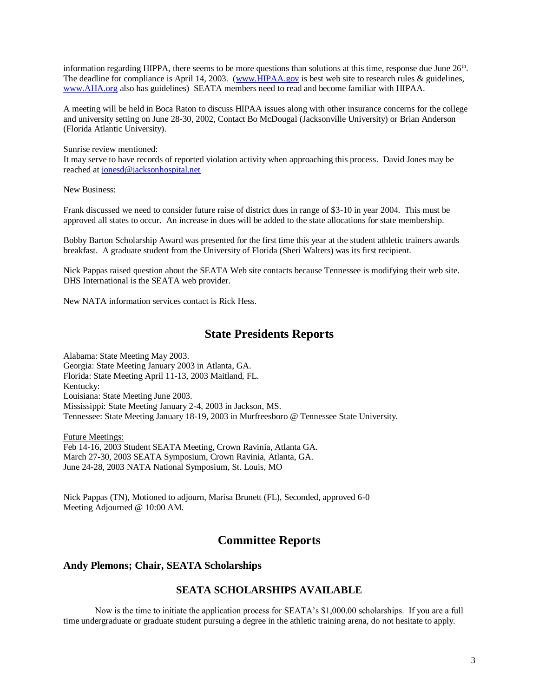information regarding HIPPA, there seems to be more questions than solutions at this time, response due June  $26<sup>th</sup>$ . The deadline for compliance is April 14, 2003. [\(www.HIPAA.gov](http://www.hipaa.gov/) is best web site to research rules & guidelines, [www.AHA.org](http://www.aha.org/) also has guidelines) SEATA members need to read and become familiar with HIPAA.

A meeting will be held in Boca Raton to discuss HIPAA issues along with other insurance concerns for the college and university setting on June 28-30, 2002, Contact Bo McDougal (Jacksonville University) or Brian Anderson (Florida Atlantic University).

Sunrise review mentioned:

It may serve to have records of reported violation activity when approaching this process. David Jones may be reached at [jonesd@jacksonhospital.net](mailto:jonesd@jacksonhospital.net)

#### New Business:

Frank discussed we need to consider future raise of district dues in range of \$3-10 in year 2004. This must be approved all states to occur. An increase in dues will be added to the state allocations for state membership.

Bobby Barton Scholarship Award was presented for the first time this year at the student athletic trainers awards breakfast. A graduate student from the University of Florida (Sheri Walters) was its first recipient.

Nick Pappas raised question about the SEATA Web site contacts because Tennessee is modifying their web site. DHS International is the SEATA web provider.

New NATA information services contact is Rick Hess.

# **State Presidents Reports**

Alabama: State Meeting May 2003. Georgia: State Meeting January 2003 in Atlanta, GA. Florida: State Meeting April 11-13, 2003 Maitland, FL. Kentucky: Louisiana: State Meeting June 2003. Mississippi: State Meeting January 2-4, 2003 in Jackson, MS. Tennessee: State Meeting January 18-19, 2003 in Murfreesboro @ Tennessee State University.

Future Meetings: Feb 14-16, 2003 Student SEATA Meeting, Crown Ravinia, Atlanta GA. March 27-30, 2003 SEATA Symposium, Crown Ravinia, Atlanta, GA. June 24-28, 2003 NATA National Symposium, St. Louis, MO

Nick Pappas (TN), Motioned to adjourn, Marisa Brunett (FL), Seconded, approved 6-0 Meeting Adjourned @ 10:00 AM.

# **Committee Reports**

## **Andy Plemons; Chair, SEATA Scholarships**

### **SEATA SCHOLARSHIPS AVAILABLE**

Now is the time to initiate the application process for SEATA's \$1,000.00 scholarships. If you are a full time undergraduate or graduate student pursuing a degree in the athletic training arena, do not hesitate to apply.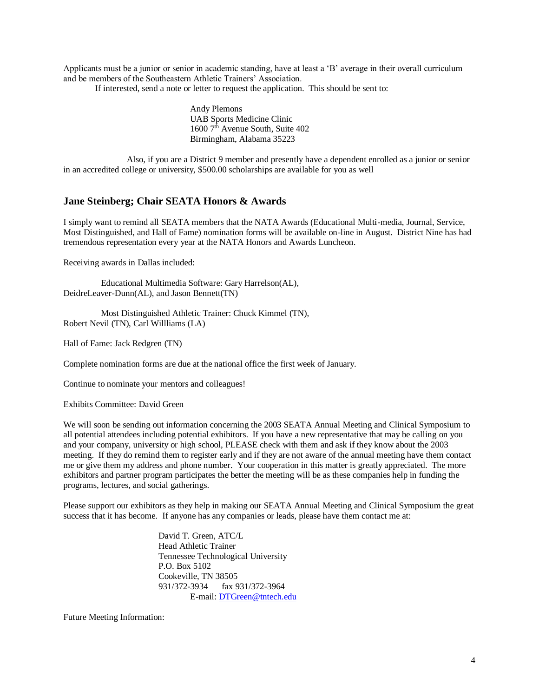Applicants must be a junior or senior in academic standing, have at least a 'B' average in their overall curriculum and be members of the Southeastern Athletic Trainers' Association.

If interested, send a note or letter to request the application. This should be sent to:

Andy Plemons UAB Sports Medicine Clinic 1600 7<sup>th</sup> Avenue South, Suite 402 Birmingham, Alabama 35223

Also, if you are a District 9 member and presently have a dependent enrolled as a junior or senior in an accredited college or university, \$500.00 scholarships are available for you as well

### **Jane Steinberg; Chair SEATA Honors & Awards**

I simply want to remind all SEATA members that the NATA Awards (Educational Multi-media, Journal, Service, Most Distinguished, and Hall of Fame) nomination forms will be available on-line in August. District Nine has had tremendous representation every year at the NATA Honors and Awards Luncheon.

Receiving awards in Dallas included:

 Educational Multimedia Software: Gary Harrelson(AL), DeidreLeaver-Dunn(AL), and Jason Bennett(TN)

 Most Distinguished Athletic Trainer: Chuck Kimmel (TN), Robert Nevil (TN), Carl Willliams (LA)

Hall of Fame: Jack Redgren (TN)

Complete nomination forms are due at the national office the first week of January.

Continue to nominate your mentors and colleagues!

Exhibits Committee: David Green

We will soon be sending out information concerning the 2003 SEATA Annual Meeting and Clinical Symposium to all potential attendees including potential exhibitors. If you have a new representative that may be calling on you and your company, university or high school, PLEASE check with them and ask if they know about the 2003 meeting. If they do remind them to register early and if they are not aware of the annual meeting have them contact me or give them my address and phone number. Your cooperation in this matter is greatly appreciated. The more exhibitors and partner program participates the better the meeting will be as these companies help in funding the programs, lectures, and social gatherings.

Please support our exhibitors as they help in making our SEATA Annual Meeting and Clinical Symposium the great success that it has become. If anyone has any companies or leads, please have them contact me at:

> David T. Green, ATC/L Head Athletic Trainer Tennessee Technological University P.O. Box 5102 Cookeville, TN 38505 931/372-3934 fax 931/372-3964 E-mail[: DTGreen@tntech.edu](mailto:DTGreen@tntech.edu)

Future Meeting Information: